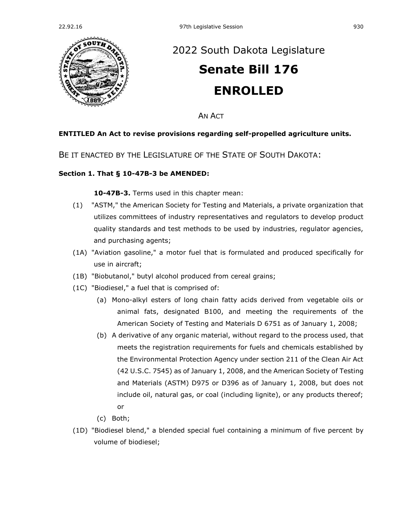

## [2022 South Dakota Legislature](https://sdlegislature.gov/Session/Bills/64) **[Senate Bill 176](https://sdlegislature.gov/Session/Bill/22645) ENROLLED**

AN ACT

## **ENTITLED An Act to revise provisions regarding self-propelled agriculture units.**

BE IT ENACTED BY THE LEGISLATURE OF THE STATE OF SOUTH DAKOTA:

## **Section 1. [That § 10-47B-3 be AMENDED:](https://sdlegislature.gov/Statutes?Statute=10-47B-3)**

**[10-47B-3.](https://sdlegislature.gov/Statutes/Codified_Laws/DisplayStatute.aspx?Type=Statute&Statute=10-47B-3)** Terms used in this chapter mean:

- (1) "ASTM," the American Society for Testing and Materials, a private organization that utilizes committees of industry representatives and regulators to develop product quality standards and test methods to be used by industries, regulator agencies, and purchasing agents;
- (1A) "Aviation gasoline," a motor fuel that is formulated and produced specifically for use in aircraft;
- (1B) "Biobutanol," butyl alcohol produced from cereal grains;
- (1C) "Biodiesel," a fuel that is comprised of:
	- (a) Mono-alkyl esters of long chain fatty acids derived from vegetable oils or animal fats, designated B100, and meeting the requirements of the American Society of Testing and Materials D 6751 as of January 1, 2008;
	- (b) A derivative of any organic material, without regard to the process used, that meets the registration requirements for fuels and chemicals established by the Environmental Protection Agency under section 211 of the Clean Air Act (42 U.S.C. 7545) as of January 1, 2008, and the American Society of Testing and Materials (ASTM) D975 or D396 as of January 1, 2008, but does not include oil, natural gas, or coal (including lignite), or any products thereof; or
	- (c) Both;
- (1D) "Biodiesel blend," a blended special fuel containing a minimum of five percent by volume of biodiesel;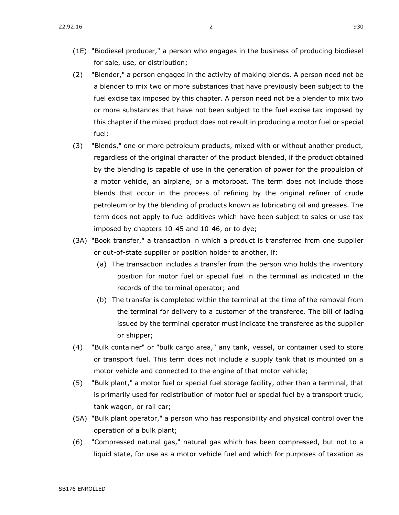- (1E) "Biodiesel producer," a person who engages in the business of producing biodiesel for sale, use, or distribution;
- (2) "Blender," a person engaged in the activity of making blends. A person need not be a blender to mix two or more substances that have previously been subject to the fuel excise tax imposed by this chapter. A person need not be a blender to mix two or more substances that have not been subject to the fuel excise tax imposed by this chapter if the mixed product does not result in producing a motor fuel or special fuel;
- (3) "Blends," one or more petroleum products, mixed with or without another product, regardless of the original character of the product blended, if the product obtained by the blending is capable of use in the generation of power for the propulsion of a motor vehicle, an airplane, or a motorboat. The term does not include those blends that occur in the process of refining by the original refiner of crude petroleum or by the blending of products known as lubricating oil and greases. The term does not apply to fuel additives which have been subject to sales or use tax imposed by chapters [10-45](https://sdlegislature.gov/Statutes/Codified_Laws/DisplayStatute.aspx?Type=Statute&Statute=10-45) and [10-46,](https://sdlegislature.gov/Statutes/Codified_Laws/DisplayStatute.aspx?Type=Statute&Statute=10-46) or to dye;
- (3A) "Book transfer," a transaction in which a product is transferred from one supplier or out-of-state supplier or position holder to another, if:
	- (a) The transaction includes a transfer from the person who holds the inventory position for motor fuel or special fuel in the terminal as indicated in the records of the terminal operator; and
	- (b) The transfer is completed within the terminal at the time of the removal from the terminal for delivery to a customer of the transferee. The bill of lading issued by the terminal operator must indicate the transferee as the supplier or shipper;
- (4) "Bulk container" or "bulk cargo area," any tank, vessel, or container used to store or transport fuel. This term does not include a supply tank that is mounted on a motor vehicle and connected to the engine of that motor vehicle;
- (5) "Bulk plant," a motor fuel or special fuel storage facility, other than a terminal, that is primarily used for redistribution of motor fuel or special fuel by a transport truck, tank wagon, or rail car;
- (5A) "Bulk plant operator," a person who has responsibility and physical control over the operation of a bulk plant;
- (6) "Compressed natural gas," natural gas which has been compressed, but not to a liquid state, for use as a motor vehicle fuel and which for purposes of taxation as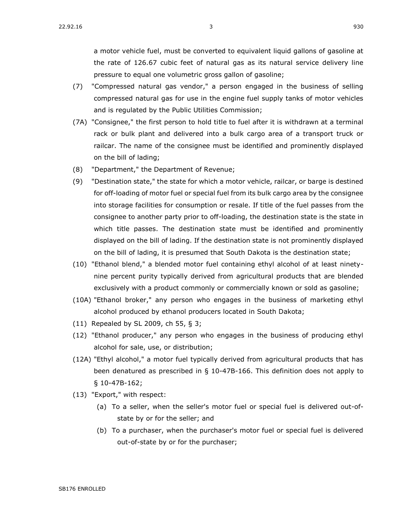a motor vehicle fuel, must be converted to equivalent liquid gallons of gasoline at the rate of 126.67 cubic feet of natural gas as its natural service delivery line pressure to equal one volumetric gross gallon of gasoline;

- (7) "Compressed natural gas vendor," a person engaged in the business of selling compressed natural gas for use in the engine fuel supply tanks of motor vehicles and is regulated by the Public Utilities Commission;
- (7A) "Consignee," the first person to hold title to fuel after it is withdrawn at a terminal rack or bulk plant and delivered into a bulk cargo area of a transport truck or railcar. The name of the consignee must be identified and prominently displayed on the bill of lading;
- (8) "Department," the Department of Revenue;
- (9) "Destination state," the state for which a motor vehicle, railcar, or barge is destined for off-loading of motor fuel or special fuel from its bulk cargo area by the consignee into storage facilities for consumption or resale. If title of the fuel passes from the consignee to another party prior to off-loading, the destination state is the state in which title passes. The destination state must be identified and prominently displayed on the bill of lading. If the destination state is not prominently displayed on the bill of lading, it is presumed that South Dakota is the destination state;
- (10) "Ethanol blend," a blended motor fuel containing ethyl alcohol of at least ninetynine percent purity typically derived from agricultural products that are blended exclusively with a product commonly or commercially known or sold as gasoline;
- (10A) "Ethanol broker," any person who engages in the business of marketing ethyl alcohol produced by ethanol producers located in South Dakota;
- (11) Repealed by SL 2009, ch 55, § 3;
- (12) "Ethanol producer," any person who engages in the business of producing ethyl alcohol for sale, use, or distribution;
- (12A) "Ethyl alcohol," a motor fuel typically derived from agricultural products that has been denatured as prescribed in § [10-47B-166.](https://sdlegislature.gov/Statutes/Codified_Laws/DisplayStatute.aspx?Type=Statute&Statute=10-47B-166) This definition does not apply to § [10-47B-162;](https://sdlegislature.gov/Statutes/Codified_Laws/DisplayStatute.aspx?Type=Statute&Statute=10-47B-162)
- (13) "Export," with respect:
	- (a) To a seller, when the seller's motor fuel or special fuel is delivered out-ofstate by or for the seller; and
	- (b) To a purchaser, when the purchaser's motor fuel or special fuel is delivered out-of-state by or for the purchaser;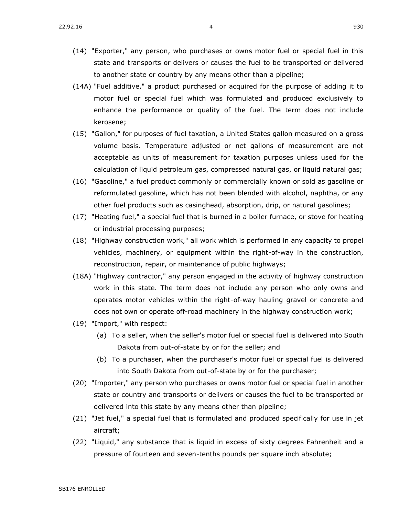- (14) "Exporter," any person, who purchases or owns motor fuel or special fuel in this state and transports or delivers or causes the fuel to be transported or delivered to another state or country by any means other than a pipeline;
- (14A) "Fuel additive," a product purchased or acquired for the purpose of adding it to motor fuel or special fuel which was formulated and produced exclusively to enhance the performance or quality of the fuel. The term does not include kerosene;
- (15) "Gallon," for purposes of fuel taxation, a United States gallon measured on a gross volume basis. Temperature adjusted or net gallons of measurement are not acceptable as units of measurement for taxation purposes unless used for the calculation of liquid petroleum gas, compressed natural gas, or liquid natural gas;
- (16) "Gasoline," a fuel product commonly or commercially known or sold as gasoline or reformulated gasoline, which has not been blended with alcohol, naphtha, or any other fuel products such as casinghead, absorption, drip, or natural gasolines;
- (17) "Heating fuel," a special fuel that is burned in a boiler furnace, or stove for heating or industrial processing purposes;
- (18) "Highway construction work," all work which is performed in any capacity to propel vehicles, machinery, or equipment within the right-of-way in the construction, reconstruction, repair, or maintenance of public highways;
- (18A) "Highway contractor," any person engaged in the activity of highway construction work in this state. The term does not include any person who only owns and operates motor vehicles within the right-of-way hauling gravel or concrete and does not own or operate off-road machinery in the highway construction work;
- (19) "Import," with respect:
	- (a) To a seller, when the seller's motor fuel or special fuel is delivered into South Dakota from out-of-state by or for the seller; and
	- (b) To a purchaser, when the purchaser's motor fuel or special fuel is delivered into South Dakota from out-of-state by or for the purchaser;
- (20) "Importer," any person who purchases or owns motor fuel or special fuel in another state or country and transports or delivers or causes the fuel to be transported or delivered into this state by any means other than pipeline;
- (21) "Jet fuel," a special fuel that is formulated and produced specifically for use in jet aircraft;
- (22) "Liquid," any substance that is liquid in excess of sixty degrees Fahrenheit and a pressure of fourteen and seven-tenths pounds per square inch absolute;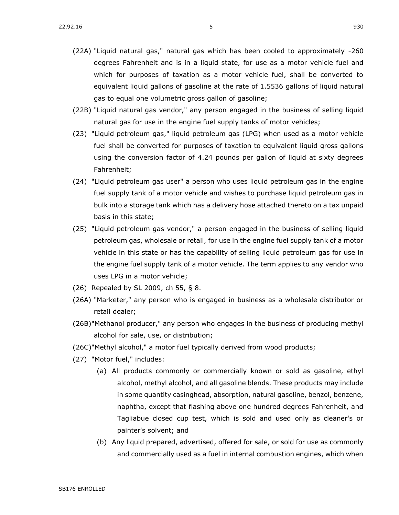- (22B) "Liquid natural gas vendor," any person engaged in the business of selling liquid natural gas for use in the engine fuel supply tanks of motor vehicles;
- (23) "Liquid petroleum gas," liquid petroleum gas (LPG) when used as a motor vehicle fuel shall be converted for purposes of taxation to equivalent liquid gross gallons using the conversion factor of 4.24 pounds per gallon of liquid at sixty degrees Fahrenheit;
- (24) "Liquid petroleum gas user" a person who uses liquid petroleum gas in the engine fuel supply tank of a motor vehicle and wishes to purchase liquid petroleum gas in bulk into a storage tank which has a delivery hose attached thereto on a tax unpaid basis in this state;
- (25) "Liquid petroleum gas vendor," a person engaged in the business of selling liquid petroleum gas, wholesale or retail, for use in the engine fuel supply tank of a motor vehicle in this state or has the capability of selling liquid petroleum gas for use in the engine fuel supply tank of a motor vehicle. The term applies to any vendor who uses LPG in a motor vehicle;
- (26) Repealed by SL 2009, ch 55, § 8.
- (26A) "Marketer," any person who is engaged in business as a wholesale distributor or retail dealer;
- (26B)"Methanol producer," any person who engages in the business of producing methyl alcohol for sale, use, or distribution;
- (26C)"Methyl alcohol," a motor fuel typically derived from wood products;
- (27) "Motor fuel," includes:
	- (a) All products commonly or commercially known or sold as gasoline, ethyl alcohol, methyl alcohol, and all gasoline blends. These products may include in some quantity casinghead, absorption, natural gasoline, benzol, benzene, naphtha, except that flashing above one hundred degrees Fahrenheit, and Tagliabue closed cup test, which is sold and used only as cleaner's or painter's solvent; and
	- (b) Any liquid prepared, advertised, offered for sale, or sold for use as commonly and commercially used as a fuel in internal combustion engines, which when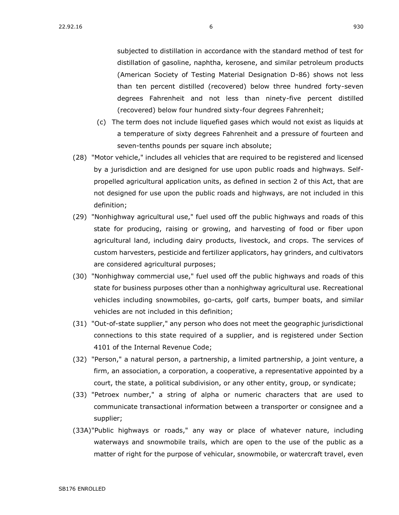subjected to distillation in accordance with the standard method of test for distillation of gasoline, naphtha, kerosene, and similar petroleum products (American Society of Testing Material Designation D-86) shows not less than ten percent distilled (recovered) below three hundred forty-seven degrees Fahrenheit and not less than ninety-five percent distilled (recovered) below four hundred sixty-four degrees Fahrenheit;

- (c) The term does not include liquefied gases which would not exist as liquids at a temperature of sixty degrees Fahrenheit and a pressure of fourteen and seven-tenths pounds per square inch absolute;
- (28) "Motor vehicle," includes all vehicles that are required to be registered and licensed by a jurisdiction and are designed for use upon public roads and highways. Selfpropelled agricultural application units, as defined in section 2 of this Act, that are not designed for use upon the public roads and highways, are not included in this definition;
- (29) "Nonhighway agricultural use," fuel used off the public highways and roads of this state for producing, raising or growing, and harvesting of food or fiber upon agricultural land, including dairy products, livestock, and crops. The services of custom harvesters, pesticide and fertilizer applicators, hay grinders, and cultivators are considered agricultural purposes;
- (30) "Nonhighway commercial use," fuel used off the public highways and roads of this state for business purposes other than a nonhighway agricultural use. Recreational vehicles including snowmobiles, go-carts, golf carts, bumper boats, and similar vehicles are not included in this definition;
- (31) "Out-of-state supplier," any person who does not meet the geographic jurisdictional connections to this state required of a supplier, and is registered under Section 4101 of the Internal Revenue Code;
- (32) "Person," a natural person, a partnership, a limited partnership, a joint venture, a firm, an association, a corporation, a cooperative, a representative appointed by a court, the state, a political subdivision, or any other entity, group, or syndicate;
- (33) "Petroex number," a string of alpha or numeric characters that are used to communicate transactional information between a transporter or consignee and a supplier;
- (33A)"Public highways or roads," any way or place of whatever nature, including waterways and snowmobile trails, which are open to the use of the public as a matter of right for the purpose of vehicular, snowmobile, or watercraft travel, even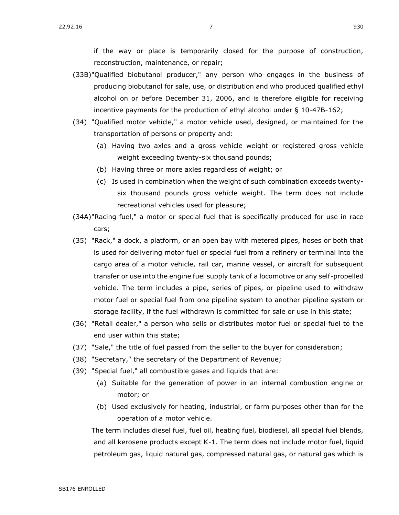if the way or place is temporarily closed for the purpose of construction, reconstruction, maintenance, or repair;

- (33B)"Qualified biobutanol producer," any person who engages in the business of producing biobutanol for sale, use, or distribution and who produced qualified ethyl alcohol on or before December 31, 2006, and is therefore eligible for receiving incentive payments for the production of ethyl alcohol under § [10-47B-162;](https://sdlegislature.gov/Statutes/Codified_Laws/DisplayStatute.aspx?Type=Statute&Statute=10-47B-162)
- (34) "Qualified motor vehicle," a motor vehicle used, designed, or maintained for the transportation of persons or property and:
	- (a) Having two axles and a gross vehicle weight or registered gross vehicle weight exceeding twenty-six thousand pounds;
	- (b) Having three or more axles regardless of weight; or
	- (c) Is used in combination when the weight of such combination exceeds twentysix thousand pounds gross vehicle weight. The term does not include recreational vehicles used for pleasure;
- (34A)"Racing fuel," a motor or special fuel that is specifically produced for use in race cars;
- (35) "Rack," a dock, a platform, or an open bay with metered pipes, hoses or both that is used for delivering motor fuel or special fuel from a refinery or terminal into the cargo area of a motor vehicle, rail car, marine vessel, or aircraft for subsequent transfer or use into the engine fuel supply tank of a locomotive or any self-propelled vehicle. The term includes a pipe, series of pipes, or pipeline used to withdraw motor fuel or special fuel from one pipeline system to another pipeline system or storage facility, if the fuel withdrawn is committed for sale or use in this state;
- (36) "Retail dealer," a person who sells or distributes motor fuel or special fuel to the end user within this state;
- (37) "Sale," the title of fuel passed from the seller to the buyer for consideration;
- (38) "Secretary," the secretary of the Department of Revenue;
- (39) "Special fuel," all combustible gases and liquids that are:
	- (a) Suitable for the generation of power in an internal combustion engine or motor; or
	- (b) Used exclusively for heating, industrial, or farm purposes other than for the operation of a motor vehicle.

The term includes diesel fuel, fuel oil, heating fuel, biodiesel, all special fuel blends, and all kerosene products except K-1. The term does not include motor fuel, liquid petroleum gas, liquid natural gas, compressed natural gas, or natural gas which is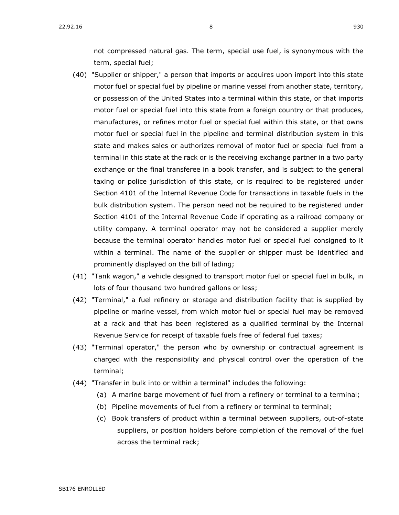not compressed natural gas. The term, special use fuel, is synonymous with the term, special fuel;

- (40) "Supplier or shipper," a person that imports or acquires upon import into this state motor fuel or special fuel by pipeline or marine vessel from another state, territory, or possession of the United States into a terminal within this state, or that imports motor fuel or special fuel into this state from a foreign country or that produces, manufactures, or refines motor fuel or special fuel within this state, or that owns motor fuel or special fuel in the pipeline and terminal distribution system in this state and makes sales or authorizes removal of motor fuel or special fuel from a terminal in this state at the rack or is the receiving exchange partner in a two party exchange or the final transferee in a book transfer, and is subject to the general taxing or police jurisdiction of this state, or is required to be registered under Section 4101 of the Internal Revenue Code for transactions in taxable fuels in the bulk distribution system. The person need not be required to be registered under Section 4101 of the Internal Revenue Code if operating as a railroad company or utility company. A terminal operator may not be considered a supplier merely because the terminal operator handles motor fuel or special fuel consigned to it within a terminal. The name of the supplier or shipper must be identified and prominently displayed on the bill of lading;
- (41) "Tank wagon," a vehicle designed to transport motor fuel or special fuel in bulk, in lots of four thousand two hundred gallons or less;
- (42) "Terminal," a fuel refinery or storage and distribution facility that is supplied by pipeline or marine vessel, from which motor fuel or special fuel may be removed at a rack and that has been registered as a qualified terminal by the Internal Revenue Service for receipt of taxable fuels free of federal fuel taxes;
- (43) "Terminal operator," the person who by ownership or contractual agreement is charged with the responsibility and physical control over the operation of the terminal;
- (44) "Transfer in bulk into or within a terminal" includes the following:
	- (a) A marine barge movement of fuel from a refinery or terminal to a terminal;
	- (b) Pipeline movements of fuel from a refinery or terminal to terminal;
	- (c) Book transfers of product within a terminal between suppliers, out-of-state suppliers, or position holders before completion of the removal of the fuel across the terminal rack;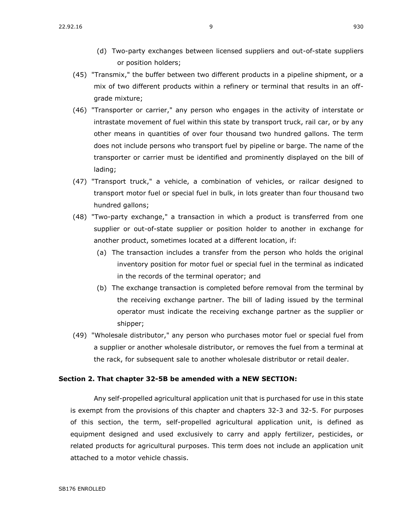- (45) "Transmix," the buffer between two different products in a pipeline shipment, or a mix of two different products within a refinery or terminal that results in an offgrade mixture;
- (46) "Transporter or carrier," any person who engages in the activity of interstate or intrastate movement of fuel within this state by transport truck, rail car, or by any other means in quantities of over four thousand two hundred gallons. The term does not include persons who transport fuel by pipeline or barge. The name of the transporter or carrier must be identified and prominently displayed on the bill of lading;
- (47) "Transport truck," a vehicle, a combination of vehicles, or railcar designed to transport motor fuel or special fuel in bulk, in lots greater than four thousand two hundred gallons;
- (48) "Two-party exchange," a transaction in which a product is transferred from one supplier or out-of-state supplier or position holder to another in exchange for another product, sometimes located at a different location, if:
	- (a) The transaction includes a transfer from the person who holds the original inventory position for motor fuel or special fuel in the terminal as indicated in the records of the terminal operator; and
	- (b) The exchange transaction is completed before removal from the terminal by the receiving exchange partner. The bill of lading issued by the terminal operator must indicate the receiving exchange partner as the supplier or shipper;
- (49) "Wholesale distributor," any person who purchases motor fuel or special fuel from a supplier or another wholesale distributor, or removes the fuel from a terminal at the rack, for subsequent sale to another wholesale distributor or retail dealer.

## **Section 2. That chapter [32-5B](https://sdlegislature.gov/Statutes?Statute=32-5B) be amended with a NEW SECTION:**

Any self-propelled agricultural application unit that is purchased for use in this state is exempt from the provisions of this chapter and chapters [32-3](https://sdlegislature.gov/Statutes?Statute=32-3) and [32-5.](https://sdlegislature.gov/Statutes?Statute=32-5) For purposes of this section, the term, self-propelled agricultural application unit, is defined as equipment designed and used exclusively to carry and apply fertilizer, pesticides, or related products for agricultural purposes. This term does not include an application unit attached to a motor vehicle chassis.